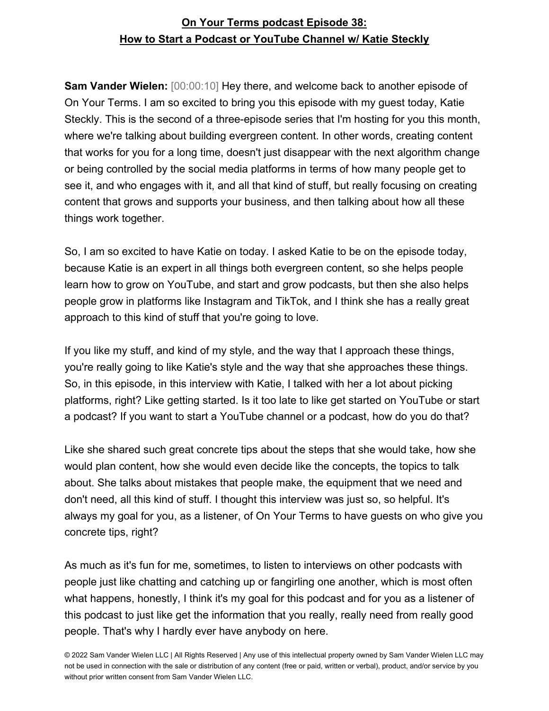**Sam Vander Wielen:** [00:00:10] Hey there, and welcome back to another episode of On Your Terms. I am so excited to bring you this episode with my guest today, Katie Steckly. This is the second of a three-episode series that I'm hosting for you this month, where we're talking about building evergreen content. In other words, creating content that works for you for a long time, doesn't just disappear with the next algorithm change or being controlled by the social media platforms in terms of how many people get to see it, and who engages with it, and all that kind of stuff, but really focusing on creating content that grows and supports your business, and then talking about how all these things work together.

So, I am so excited to have Katie on today. I asked Katie to be on the episode today, because Katie is an expert in all things both evergreen content, so she helps people learn how to grow on YouTube, and start and grow podcasts, but then she also helps people grow in platforms like Instagram and TikTok, and I think she has a really great approach to this kind of stuff that you're going to love.

If you like my stuff, and kind of my style, and the way that I approach these things, you're really going to like Katie's style and the way that she approaches these things. So, in this episode, in this interview with Katie, I talked with her a lot about picking platforms, right? Like getting started. Is it too late to like get started on YouTube or start a podcast? If you want to start a YouTube channel or a podcast, how do you do that?

Like she shared such great concrete tips about the steps that she would take, how she would plan content, how she would even decide like the concepts, the topics to talk about. She talks about mistakes that people make, the equipment that we need and don't need, all this kind of stuff. I thought this interview was just so, so helpful. It's always my goal for you, as a listener, of On Your Terms to have guests on who give you concrete tips, right?

As much as it's fun for me, sometimes, to listen to interviews on other podcasts with people just like chatting and catching up or fangirling one another, which is most often what happens, honestly, I think it's my goal for this podcast and for you as a listener of this podcast to just like get the information that you really, really need from really good people. That's why I hardly ever have anybody on here.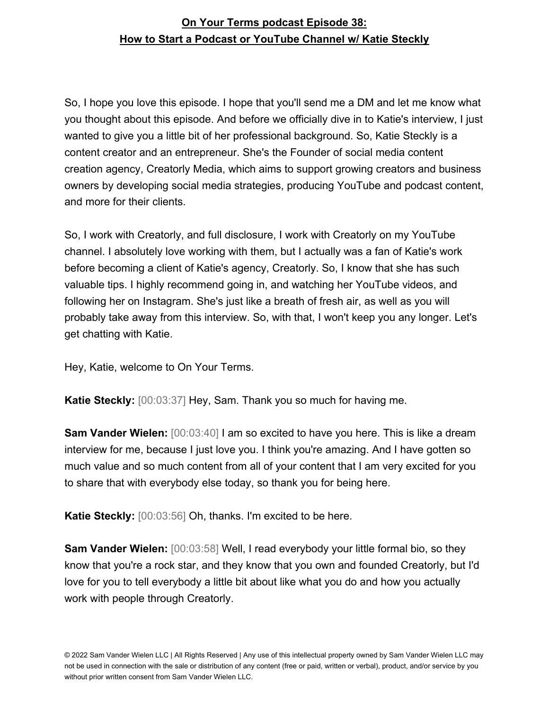So, I hope you love this episode. I hope that you'll send me a DM and let me know what you thought about this episode. And before we officially dive in to Katie's interview, I just wanted to give you a little bit of her professional background. So, Katie Steckly is a content creator and an entrepreneur. She's the Founder of social media content creation agency, Creatorly Media, which aims to support growing creators and business owners by developing social media strategies, producing YouTube and podcast content, and more for their clients.

So, I work with Creatorly, and full disclosure, I work with Creatorly on my YouTube channel. I absolutely love working with them, but I actually was a fan of Katie's work before becoming a client of Katie's agency, Creatorly. So, I know that she has such valuable tips. I highly recommend going in, and watching her YouTube videos, and following her on Instagram. She's just like a breath of fresh air, as well as you will probably take away from this interview. So, with that, I won't keep you any longer. Let's get chatting with Katie.

Hey, Katie, welcome to On Your Terms.

**Katie Steckly:** [00:03:37] Hey, Sam. Thank you so much for having me.

**Sam Vander Wielen:** [00:03:40] I am so excited to have you here. This is like a dream interview for me, because I just love you. I think you're amazing. And I have gotten so much value and so much content from all of your content that I am very excited for you to share that with everybody else today, so thank you for being here.

**Katie Steckly:** [00:03:56] Oh, thanks. I'm excited to be here.

**Sam Vander Wielen:** [00:03:58] Well, I read everybody your little formal bio, so they know that you're a rock star, and they know that you own and founded Creatorly, but I'd love for you to tell everybody a little bit about like what you do and how you actually work with people through Creatorly.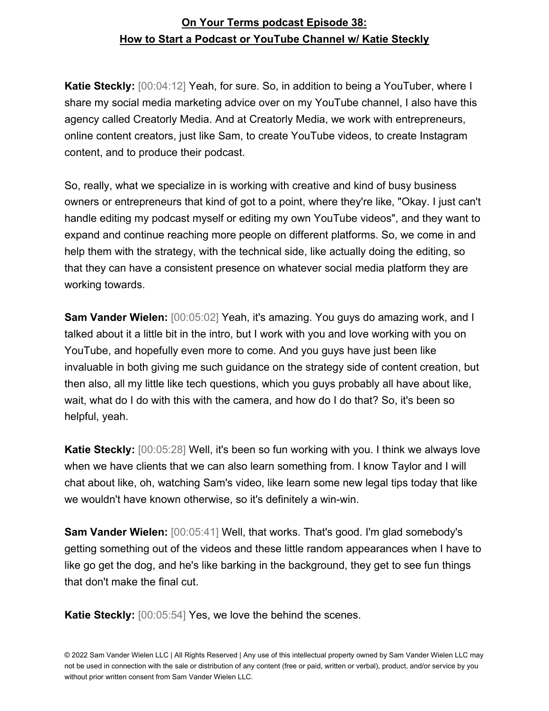**Katie Steckly:** [00:04:12] Yeah, for sure. So, in addition to being a YouTuber, where I share my social media marketing advice over on my YouTube channel, I also have this agency called Creatorly Media. And at Creatorly Media, we work with entrepreneurs, online content creators, just like Sam, to create YouTube videos, to create Instagram content, and to produce their podcast.

So, really, what we specialize in is working with creative and kind of busy business owners or entrepreneurs that kind of got to a point, where they're like, "Okay. I just can't handle editing my podcast myself or editing my own YouTube videos", and they want to expand and continue reaching more people on different platforms. So, we come in and help them with the strategy, with the technical side, like actually doing the editing, so that they can have a consistent presence on whatever social media platform they are working towards.

**Sam Vander Wielen:** [00:05:02] Yeah, it's amazing. You guys do amazing work, and I talked about it a little bit in the intro, but I work with you and love working with you on YouTube, and hopefully even more to come. And you guys have just been like invaluable in both giving me such guidance on the strategy side of content creation, but then also, all my little like tech questions, which you guys probably all have about like, wait, what do I do with this with the camera, and how do I do that? So, it's been so helpful, yeah.

**Katie Steckly:** [00:05:28] Well, it's been so fun working with you. I think we always love when we have clients that we can also learn something from. I know Taylor and I will chat about like, oh, watching Sam's video, like learn some new legal tips today that like we wouldn't have known otherwise, so it's definitely a win-win.

**Sam Vander Wielen:** [00:05:41] Well, that works. That's good. I'm glad somebody's getting something out of the videos and these little random appearances when I have to like go get the dog, and he's like barking in the background, they get to see fun things that don't make the final cut.

**Katie Steckly:** [00:05:54] Yes, we love the behind the scenes.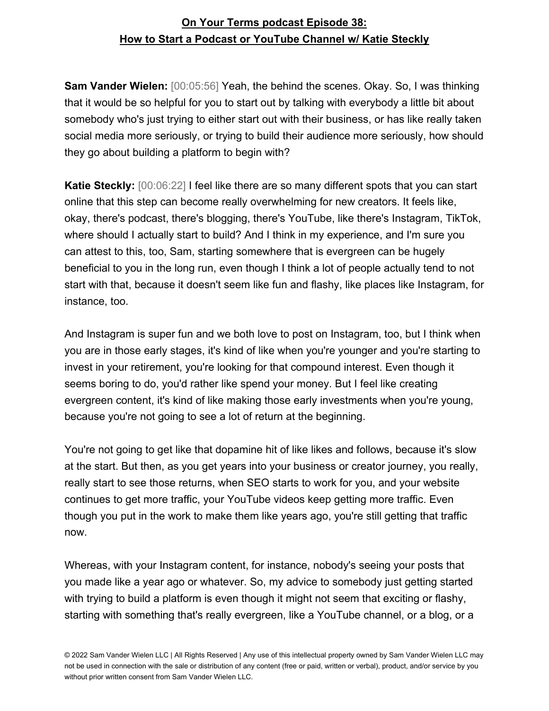**Sam Vander Wielen:** [00:05:56] Yeah, the behind the scenes. Okay. So, I was thinking that it would be so helpful for you to start out by talking with everybody a little bit about somebody who's just trying to either start out with their business, or has like really taken social media more seriously, or trying to build their audience more seriously, how should they go about building a platform to begin with?

**Katie Steckly:** [00:06:22] I feel like there are so many different spots that you can start online that this step can become really overwhelming for new creators. It feels like, okay, there's podcast, there's blogging, there's YouTube, like there's Instagram, TikTok, where should I actually start to build? And I think in my experience, and I'm sure you can attest to this, too, Sam, starting somewhere that is evergreen can be hugely beneficial to you in the long run, even though I think a lot of people actually tend to not start with that, because it doesn't seem like fun and flashy, like places like Instagram, for instance, too.

And Instagram is super fun and we both love to post on Instagram, too, but I think when you are in those early stages, it's kind of like when you're younger and you're starting to invest in your retirement, you're looking for that compound interest. Even though it seems boring to do, you'd rather like spend your money. But I feel like creating evergreen content, it's kind of like making those early investments when you're young, because you're not going to see a lot of return at the beginning.

You're not going to get like that dopamine hit of like likes and follows, because it's slow at the start. But then, as you get years into your business or creator journey, you really, really start to see those returns, when SEO starts to work for you, and your website continues to get more traffic, your YouTube videos keep getting more traffic. Even though you put in the work to make them like years ago, you're still getting that traffic now.

Whereas, with your Instagram content, for instance, nobody's seeing your posts that you made like a year ago or whatever. So, my advice to somebody just getting started with trying to build a platform is even though it might not seem that exciting or flashy, starting with something that's really evergreen, like a YouTube channel, or a blog, or a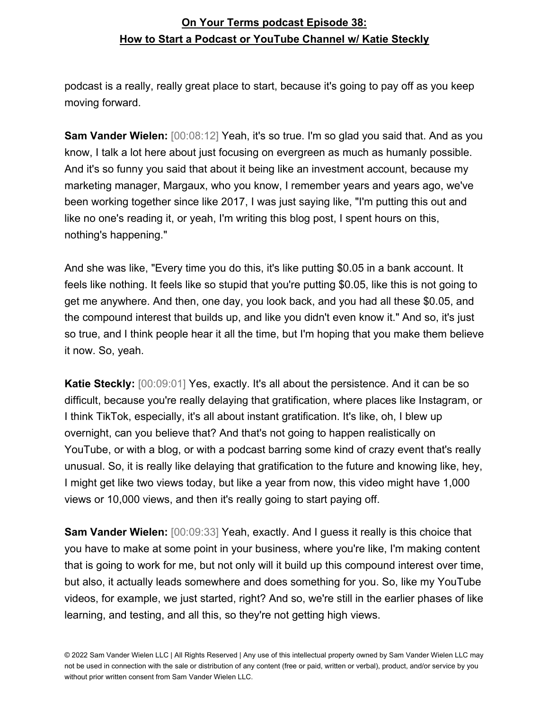podcast is a really, really great place to start, because it's going to pay off as you keep moving forward.

**Sam Vander Wielen:** [00:08:12] Yeah, it's so true. I'm so glad you said that. And as you know, I talk a lot here about just focusing on evergreen as much as humanly possible. And it's so funny you said that about it being like an investment account, because my marketing manager, Margaux, who you know, I remember years and years ago, we've been working together since like 2017, I was just saying like, "I'm putting this out and like no one's reading it, or yeah, I'm writing this blog post, I spent hours on this, nothing's happening."

And she was like, "Every time you do this, it's like putting \$0.05 in a bank account. It feels like nothing. It feels like so stupid that you're putting \$0.05, like this is not going to get me anywhere. And then, one day, you look back, and you had all these \$0.05, and the compound interest that builds up, and like you didn't even know it." And so, it's just so true, and I think people hear it all the time, but I'm hoping that you make them believe it now. So, yeah.

**Katie Steckly:** [00:09:01] Yes, exactly. It's all about the persistence. And it can be so difficult, because you're really delaying that gratification, where places like Instagram, or I think TikTok, especially, it's all about instant gratification. It's like, oh, I blew up overnight, can you believe that? And that's not going to happen realistically on YouTube, or with a blog, or with a podcast barring some kind of crazy event that's really unusual. So, it is really like delaying that gratification to the future and knowing like, hey, I might get like two views today, but like a year from now, this video might have 1,000 views or 10,000 views, and then it's really going to start paying off.

**Sam Vander Wielen:** [00:09:33] Yeah, exactly. And I guess it really is this choice that you have to make at some point in your business, where you're like, I'm making content that is going to work for me, but not only will it build up this compound interest over time, but also, it actually leads somewhere and does something for you. So, like my YouTube videos, for example, we just started, right? And so, we're still in the earlier phases of like learning, and testing, and all this, so they're not getting high views.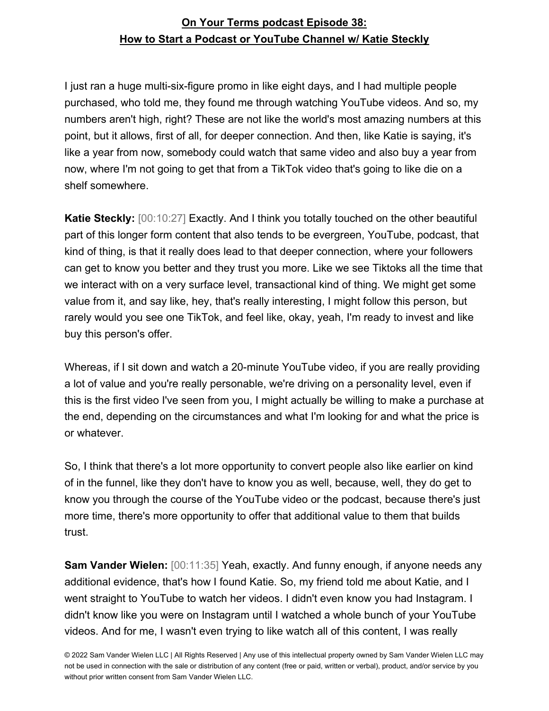I just ran a huge multi-six-figure promo in like eight days, and I had multiple people purchased, who told me, they found me through watching YouTube videos. And so, my numbers aren't high, right? These are not like the world's most amazing numbers at this point, but it allows, first of all, for deeper connection. And then, like Katie is saying, it's like a year from now, somebody could watch that same video and also buy a year from now, where I'm not going to get that from a TikTok video that's going to like die on a shelf somewhere.

**Katie Steckly:** [00:10:27] Exactly. And I think you totally touched on the other beautiful part of this longer form content that also tends to be evergreen, YouTube, podcast, that kind of thing, is that it really does lead to that deeper connection, where your followers can get to know you better and they trust you more. Like we see Tiktoks all the time that we interact with on a very surface level, transactional kind of thing. We might get some value from it, and say like, hey, that's really interesting, I might follow this person, but rarely would you see one TikTok, and feel like, okay, yeah, I'm ready to invest and like buy this person's offer.

Whereas, if I sit down and watch a 20-minute YouTube video, if you are really providing a lot of value and you're really personable, we're driving on a personality level, even if this is the first video I've seen from you, I might actually be willing to make a purchase at the end, depending on the circumstances and what I'm looking for and what the price is or whatever.

So, I think that there's a lot more opportunity to convert people also like earlier on kind of in the funnel, like they don't have to know you as well, because, well, they do get to know you through the course of the YouTube video or the podcast, because there's just more time, there's more opportunity to offer that additional value to them that builds trust.

**Sam Vander Wielen:** [00:11:35] Yeah, exactly. And funny enough, if anyone needs any additional evidence, that's how I found Katie. So, my friend told me about Katie, and I went straight to YouTube to watch her videos. I didn't even know you had Instagram. I didn't know like you were on Instagram until I watched a whole bunch of your YouTube videos. And for me, I wasn't even trying to like watch all of this content, I was really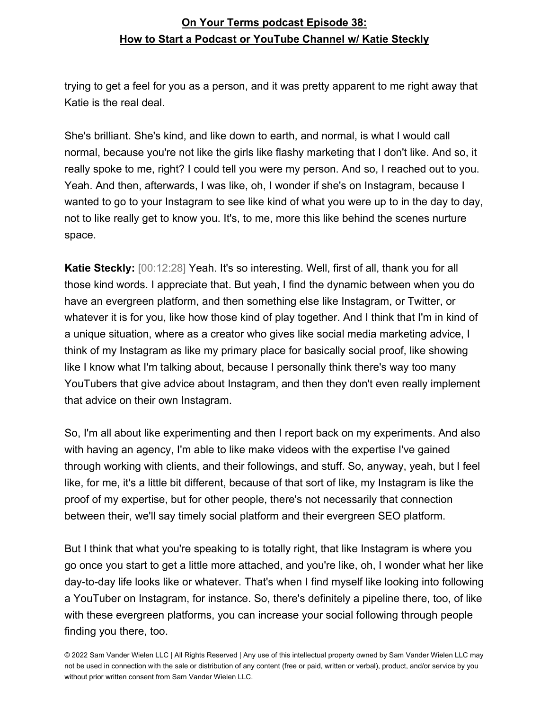trying to get a feel for you as a person, and it was pretty apparent to me right away that Katie is the real deal.

She's brilliant. She's kind, and like down to earth, and normal, is what I would call normal, because you're not like the girls like flashy marketing that I don't like. And so, it really spoke to me, right? I could tell you were my person. And so, I reached out to you. Yeah. And then, afterwards, I was like, oh, I wonder if she's on Instagram, because I wanted to go to your Instagram to see like kind of what you were up to in the day to day, not to like really get to know you. It's, to me, more this like behind the scenes nurture space.

**Katie Steckly:** [00:12:28] Yeah. It's so interesting. Well, first of all, thank you for all those kind words. I appreciate that. But yeah, I find the dynamic between when you do have an evergreen platform, and then something else like Instagram, or Twitter, or whatever it is for you, like how those kind of play together. And I think that I'm in kind of a unique situation, where as a creator who gives like social media marketing advice, I think of my Instagram as like my primary place for basically social proof, like showing like I know what I'm talking about, because I personally think there's way too many YouTubers that give advice about Instagram, and then they don't even really implement that advice on their own Instagram.

So, I'm all about like experimenting and then I report back on my experiments. And also with having an agency, I'm able to like make videos with the expertise I've gained through working with clients, and their followings, and stuff. So, anyway, yeah, but I feel like, for me, it's a little bit different, because of that sort of like, my Instagram is like the proof of my expertise, but for other people, there's not necessarily that connection between their, we'll say timely social platform and their evergreen SEO platform.

But I think that what you're speaking to is totally right, that like Instagram is where you go once you start to get a little more attached, and you're like, oh, I wonder what her like day-to-day life looks like or whatever. That's when I find myself like looking into following a YouTuber on Instagram, for instance. So, there's definitely a pipeline there, too, of like with these evergreen platforms, you can increase your social following through people finding you there, too.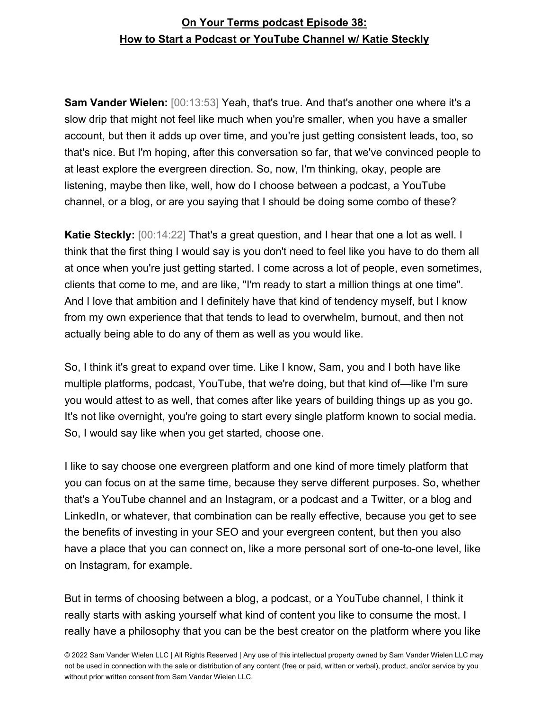**Sam Vander Wielen:** [00:13:53] Yeah, that's true. And that's another one where it's a slow drip that might not feel like much when you're smaller, when you have a smaller account, but then it adds up over time, and you're just getting consistent leads, too, so that's nice. But I'm hoping, after this conversation so far, that we've convinced people to at least explore the evergreen direction. So, now, I'm thinking, okay, people are listening, maybe then like, well, how do I choose between a podcast, a YouTube channel, or a blog, or are you saying that I should be doing some combo of these?

**Katie Steckly:** [00:14:22] That's a great question, and I hear that one a lot as well. I think that the first thing I would say is you don't need to feel like you have to do them all at once when you're just getting started. I come across a lot of people, even sometimes, clients that come to me, and are like, "I'm ready to start a million things at one time". And I love that ambition and I definitely have that kind of tendency myself, but I know from my own experience that that tends to lead to overwhelm, burnout, and then not actually being able to do any of them as well as you would like.

So, I think it's great to expand over time. Like I know, Sam, you and I both have like multiple platforms, podcast, YouTube, that we're doing, but that kind of—like I'm sure you would attest to as well, that comes after like years of building things up as you go. It's not like overnight, you're going to start every single platform known to social media. So, I would say like when you get started, choose one.

I like to say choose one evergreen platform and one kind of more timely platform that you can focus on at the same time, because they serve different purposes. So, whether that's a YouTube channel and an Instagram, or a podcast and a Twitter, or a blog and LinkedIn, or whatever, that combination can be really effective, because you get to see the benefits of investing in your SEO and your evergreen content, but then you also have a place that you can connect on, like a more personal sort of one-to-one level, like on Instagram, for example.

But in terms of choosing between a blog, a podcast, or a YouTube channel, I think it really starts with asking yourself what kind of content you like to consume the most. I really have a philosophy that you can be the best creator on the platform where you like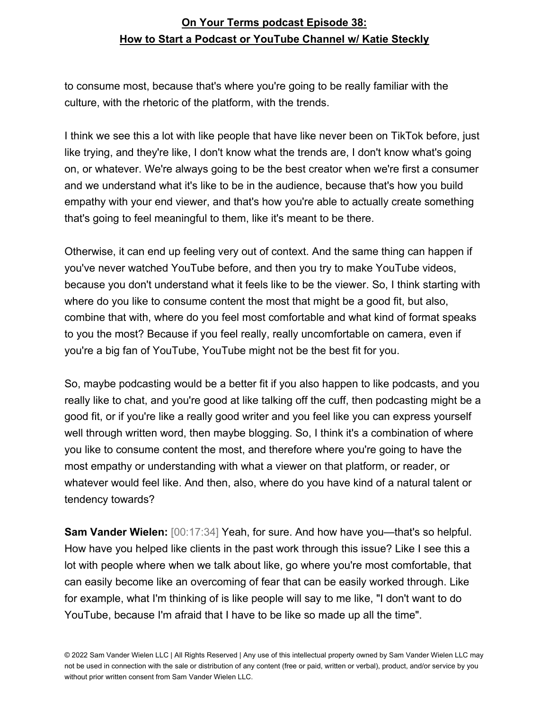to consume most, because that's where you're going to be really familiar with the culture, with the rhetoric of the platform, with the trends.

I think we see this a lot with like people that have like never been on TikTok before, just like trying, and they're like, I don't know what the trends are, I don't know what's going on, or whatever. We're always going to be the best creator when we're first a consumer and we understand what it's like to be in the audience, because that's how you build empathy with your end viewer, and that's how you're able to actually create something that's going to feel meaningful to them, like it's meant to be there.

Otherwise, it can end up feeling very out of context. And the same thing can happen if you've never watched YouTube before, and then you try to make YouTube videos, because you don't understand what it feels like to be the viewer. So, I think starting with where do you like to consume content the most that might be a good fit, but also, combine that with, where do you feel most comfortable and what kind of format speaks to you the most? Because if you feel really, really uncomfortable on camera, even if you're a big fan of YouTube, YouTube might not be the best fit for you.

So, maybe podcasting would be a better fit if you also happen to like podcasts, and you really like to chat, and you're good at like talking off the cuff, then podcasting might be a good fit, or if you're like a really good writer and you feel like you can express yourself well through written word, then maybe blogging. So, I think it's a combination of where you like to consume content the most, and therefore where you're going to have the most empathy or understanding with what a viewer on that platform, or reader, or whatever would feel like. And then, also, where do you have kind of a natural talent or tendency towards?

**Sam Vander Wielen:** [00:17:34] Yeah, for sure. And how have you—that's so helpful. How have you helped like clients in the past work through this issue? Like I see this a lot with people where when we talk about like, go where you're most comfortable, that can easily become like an overcoming of fear that can be easily worked through. Like for example, what I'm thinking of is like people will say to me like, "I don't want to do YouTube, because I'm afraid that I have to be like so made up all the time".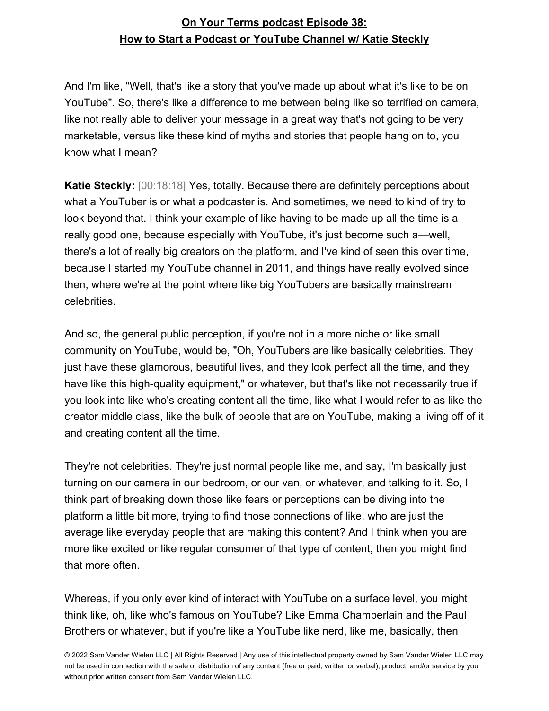And I'm like, "Well, that's like a story that you've made up about what it's like to be on YouTube". So, there's like a difference to me between being like so terrified on camera, like not really able to deliver your message in a great way that's not going to be very marketable, versus like these kind of myths and stories that people hang on to, you know what I mean?

**Katie Steckly:** [00:18:18] Yes, totally. Because there are definitely perceptions about what a YouTuber is or what a podcaster is. And sometimes, we need to kind of try to look beyond that. I think your example of like having to be made up all the time is a really good one, because especially with YouTube, it's just become such a—well, there's a lot of really big creators on the platform, and I've kind of seen this over time, because I started my YouTube channel in 2011, and things have really evolved since then, where we're at the point where like big YouTubers are basically mainstream celebrities.

And so, the general public perception, if you're not in a more niche or like small community on YouTube, would be, "Oh, YouTubers are like basically celebrities. They just have these glamorous, beautiful lives, and they look perfect all the time, and they have like this high-quality equipment," or whatever, but that's like not necessarily true if you look into like who's creating content all the time, like what I would refer to as like the creator middle class, like the bulk of people that are on YouTube, making a living off of it and creating content all the time.

They're not celebrities. They're just normal people like me, and say, I'm basically just turning on our camera in our bedroom, or our van, or whatever, and talking to it. So, I think part of breaking down those like fears or perceptions can be diving into the platform a little bit more, trying to find those connections of like, who are just the average like everyday people that are making this content? And I think when you are more like excited or like regular consumer of that type of content, then you might find that more often.

Whereas, if you only ever kind of interact with YouTube on a surface level, you might think like, oh, like who's famous on YouTube? Like Emma Chamberlain and the Paul Brothers or whatever, but if you're like a YouTube like nerd, like me, basically, then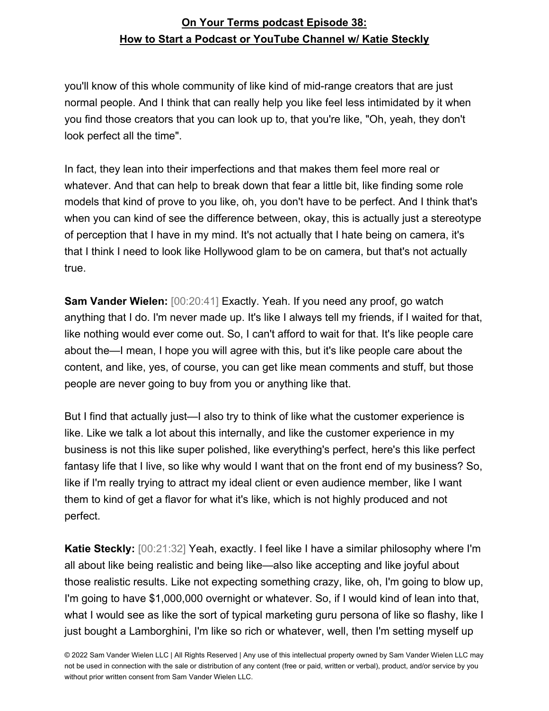you'll know of this whole community of like kind of mid-range creators that are just normal people. And I think that can really help you like feel less intimidated by it when you find those creators that you can look up to, that you're like, "Oh, yeah, they don't look perfect all the time".

In fact, they lean into their imperfections and that makes them feel more real or whatever. And that can help to break down that fear a little bit, like finding some role models that kind of prove to you like, oh, you don't have to be perfect. And I think that's when you can kind of see the difference between, okay, this is actually just a stereotype of perception that I have in my mind. It's not actually that I hate being on camera, it's that I think I need to look like Hollywood glam to be on camera, but that's not actually true.

**Sam Vander Wielen:** [00:20:41] Exactly. Yeah. If you need any proof, go watch anything that I do. I'm never made up. It's like I always tell my friends, if I waited for that, like nothing would ever come out. So, I can't afford to wait for that. It's like people care about the—I mean, I hope you will agree with this, but it's like people care about the content, and like, yes, of course, you can get like mean comments and stuff, but those people are never going to buy from you or anything like that.

But I find that actually just—I also try to think of like what the customer experience is like. Like we talk a lot about this internally, and like the customer experience in my business is not this like super polished, like everything's perfect, here's this like perfect fantasy life that I live, so like why would I want that on the front end of my business? So, like if I'm really trying to attract my ideal client or even audience member, like I want them to kind of get a flavor for what it's like, which is not highly produced and not perfect.

**Katie Steckly:** [00:21:32] Yeah, exactly. I feel like I have a similar philosophy where I'm all about like being realistic and being like—also like accepting and like joyful about those realistic results. Like not expecting something crazy, like, oh, I'm going to blow up, I'm going to have \$1,000,000 overnight or whatever. So, if I would kind of lean into that, what I would see as like the sort of typical marketing guru persona of like so flashy, like I just bought a Lamborghini, I'm like so rich or whatever, well, then I'm setting myself up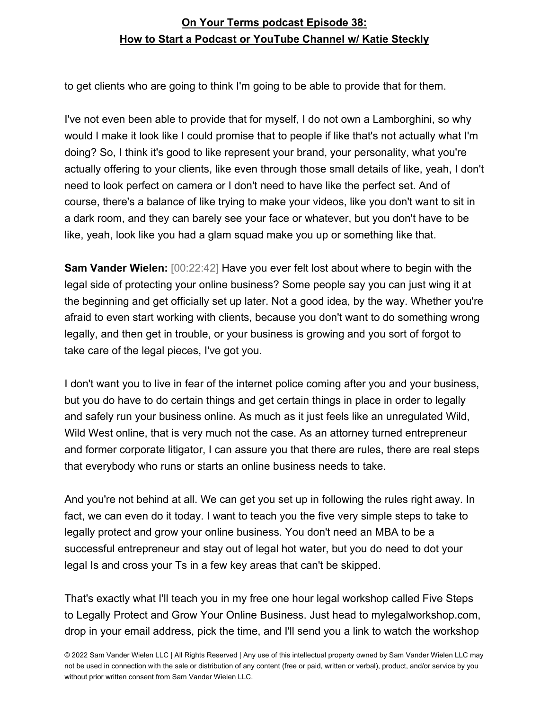to get clients who are going to think I'm going to be able to provide that for them.

I've not even been able to provide that for myself, I do not own a Lamborghini, so why would I make it look like I could promise that to people if like that's not actually what I'm doing? So, I think it's good to like represent your brand, your personality, what you're actually offering to your clients, like even through those small details of like, yeah, I don't need to look perfect on camera or I don't need to have like the perfect set. And of course, there's a balance of like trying to make your videos, like you don't want to sit in a dark room, and they can barely see your face or whatever, but you don't have to be like, yeah, look like you had a glam squad make you up or something like that.

**Sam Vander Wielen:** [00:22:42] Have you ever felt lost about where to begin with the legal side of protecting your online business? Some people say you can just wing it at the beginning and get officially set up later. Not a good idea, by the way. Whether you're afraid to even start working with clients, because you don't want to do something wrong legally, and then get in trouble, or your business is growing and you sort of forgot to take care of the legal pieces, I've got you.

I don't want you to live in fear of the internet police coming after you and your business, but you do have to do certain things and get certain things in place in order to legally and safely run your business online. As much as it just feels like an unregulated Wild, Wild West online, that is very much not the case. As an attorney turned entrepreneur and former corporate litigator, I can assure you that there are rules, there are real steps that everybody who runs or starts an online business needs to take.

And you're not behind at all. We can get you set up in following the rules right away. In fact, we can even do it today. I want to teach you the five very simple steps to take to legally protect and grow your online business. You don't need an MBA to be a successful entrepreneur and stay out of legal hot water, but you do need to dot your legal Is and cross your Ts in a few key areas that can't be skipped.

That's exactly what I'll teach you in my free one hour legal workshop called Five Steps to Legally Protect and Grow Your Online Business. Just head to mylegalworkshop.com, drop in your email address, pick the time, and I'll send you a link to watch the workshop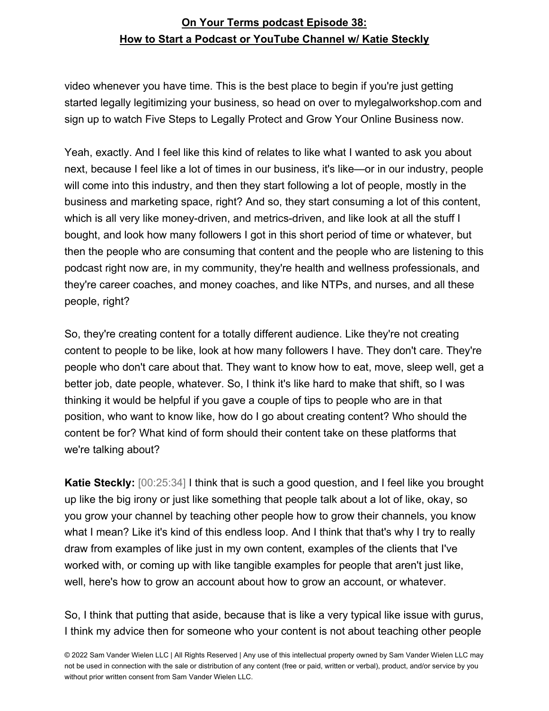video whenever you have time. This is the best place to begin if you're just getting started legally legitimizing your business, so head on over to mylegalworkshop.com and sign up to watch Five Steps to Legally Protect and Grow Your Online Business now.

Yeah, exactly. And I feel like this kind of relates to like what I wanted to ask you about next, because I feel like a lot of times in our business, it's like—or in our industry, people will come into this industry, and then they start following a lot of people, mostly in the business and marketing space, right? And so, they start consuming a lot of this content, which is all very like money-driven, and metrics-driven, and like look at all the stuff I bought, and look how many followers I got in this short period of time or whatever, but then the people who are consuming that content and the people who are listening to this podcast right now are, in my community, they're health and wellness professionals, and they're career coaches, and money coaches, and like NTPs, and nurses, and all these people, right?

So, they're creating content for a totally different audience. Like they're not creating content to people to be like, look at how many followers I have. They don't care. They're people who don't care about that. They want to know how to eat, move, sleep well, get a better job, date people, whatever. So, I think it's like hard to make that shift, so I was thinking it would be helpful if you gave a couple of tips to people who are in that position, who want to know like, how do I go about creating content? Who should the content be for? What kind of form should their content take on these platforms that we're talking about?

**Katie Steckly:** [00:25:34] I think that is such a good question, and I feel like you brought up like the big irony or just like something that people talk about a lot of like, okay, so you grow your channel by teaching other people how to grow their channels, you know what I mean? Like it's kind of this endless loop. And I think that that's why I try to really draw from examples of like just in my own content, examples of the clients that I've worked with, or coming up with like tangible examples for people that aren't just like, well, here's how to grow an account about how to grow an account, or whatever.

So, I think that putting that aside, because that is like a very typical like issue with gurus, I think my advice then for someone who your content is not about teaching other people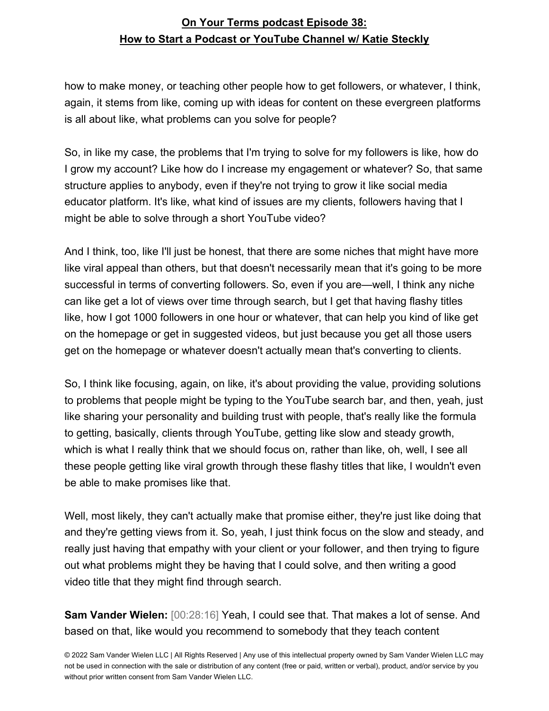how to make money, or teaching other people how to get followers, or whatever, I think, again, it stems from like, coming up with ideas for content on these evergreen platforms is all about like, what problems can you solve for people?

So, in like my case, the problems that I'm trying to solve for my followers is like, how do I grow my account? Like how do I increase my engagement or whatever? So, that same structure applies to anybody, even if they're not trying to grow it like social media educator platform. It's like, what kind of issues are my clients, followers having that I might be able to solve through a short YouTube video?

And I think, too, like I'll just be honest, that there are some niches that might have more like viral appeal than others, but that doesn't necessarily mean that it's going to be more successful in terms of converting followers. So, even if you are—well, I think any niche can like get a lot of views over time through search, but I get that having flashy titles like, how I got 1000 followers in one hour or whatever, that can help you kind of like get on the homepage or get in suggested videos, but just because you get all those users get on the homepage or whatever doesn't actually mean that's converting to clients.

So, I think like focusing, again, on like, it's about providing the value, providing solutions to problems that people might be typing to the YouTube search bar, and then, yeah, just like sharing your personality and building trust with people, that's really like the formula to getting, basically, clients through YouTube, getting like slow and steady growth, which is what I really think that we should focus on, rather than like, oh, well, I see all these people getting like viral growth through these flashy titles that like, I wouldn't even be able to make promises like that.

Well, most likely, they can't actually make that promise either, they're just like doing that and they're getting views from it. So, yeah, I just think focus on the slow and steady, and really just having that empathy with your client or your follower, and then trying to figure out what problems might they be having that I could solve, and then writing a good video title that they might find through search.

**Sam Vander Wielen:** [00:28:16] Yeah, I could see that. That makes a lot of sense. And based on that, like would you recommend to somebody that they teach content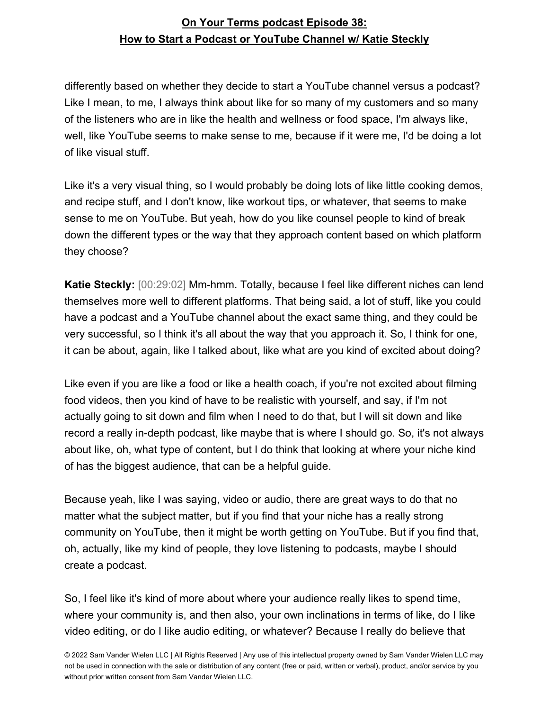differently based on whether they decide to start a YouTube channel versus a podcast? Like I mean, to me, I always think about like for so many of my customers and so many of the listeners who are in like the health and wellness or food space, I'm always like, well, like YouTube seems to make sense to me, because if it were me, I'd be doing a lot of like visual stuff.

Like it's a very visual thing, so I would probably be doing lots of like little cooking demos, and recipe stuff, and I don't know, like workout tips, or whatever, that seems to make sense to me on YouTube. But yeah, how do you like counsel people to kind of break down the different types or the way that they approach content based on which platform they choose?

**Katie Steckly:** [00:29:02] Mm-hmm. Totally, because I feel like different niches can lend themselves more well to different platforms. That being said, a lot of stuff, like you could have a podcast and a YouTube channel about the exact same thing, and they could be very successful, so I think it's all about the way that you approach it. So, I think for one, it can be about, again, like I talked about, like what are you kind of excited about doing?

Like even if you are like a food or like a health coach, if you're not excited about filming food videos, then you kind of have to be realistic with yourself, and say, if I'm not actually going to sit down and film when I need to do that, but I will sit down and like record a really in-depth podcast, like maybe that is where I should go. So, it's not always about like, oh, what type of content, but I do think that looking at where your niche kind of has the biggest audience, that can be a helpful guide.

Because yeah, like I was saying, video or audio, there are great ways to do that no matter what the subject matter, but if you find that your niche has a really strong community on YouTube, then it might be worth getting on YouTube. But if you find that, oh, actually, like my kind of people, they love listening to podcasts, maybe I should create a podcast.

So, I feel like it's kind of more about where your audience really likes to spend time, where your community is, and then also, your own inclinations in terms of like, do I like video editing, or do I like audio editing, or whatever? Because I really do believe that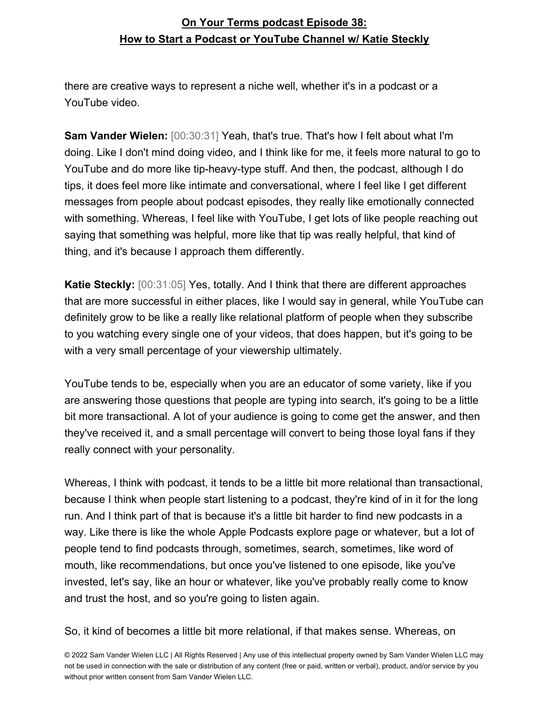there are creative ways to represent a niche well, whether it's in a podcast or a YouTube video.

**Sam Vander Wielen:** [00:30:31] Yeah, that's true. That's how I felt about what I'm doing. Like I don't mind doing video, and I think like for me, it feels more natural to go to YouTube and do more like tip-heavy-type stuff. And then, the podcast, although I do tips, it does feel more like intimate and conversational, where I feel like I get different messages from people about podcast episodes, they really like emotionally connected with something. Whereas, I feel like with YouTube, I get lots of like people reaching out saying that something was helpful, more like that tip was really helpful, that kind of thing, and it's because I approach them differently.

**Katie Steckly:** [00:31:05] Yes, totally. And I think that there are different approaches that are more successful in either places, like I would say in general, while YouTube can definitely grow to be like a really like relational platform of people when they subscribe to you watching every single one of your videos, that does happen, but it's going to be with a very small percentage of your viewership ultimately.

YouTube tends to be, especially when you are an educator of some variety, like if you are answering those questions that people are typing into search, it's going to be a little bit more transactional. A lot of your audience is going to come get the answer, and then they've received it, and a small percentage will convert to being those loyal fans if they really connect with your personality.

Whereas, I think with podcast, it tends to be a little bit more relational than transactional, because I think when people start listening to a podcast, they're kind of in it for the long run. And I think part of that is because it's a little bit harder to find new podcasts in a way. Like there is like the whole Apple Podcasts explore page or whatever, but a lot of people tend to find podcasts through, sometimes, search, sometimes, like word of mouth, like recommendations, but once you've listened to one episode, like you've invested, let's say, like an hour or whatever, like you've probably really come to know and trust the host, and so you're going to listen again.

So, it kind of becomes a little bit more relational, if that makes sense. Whereas, on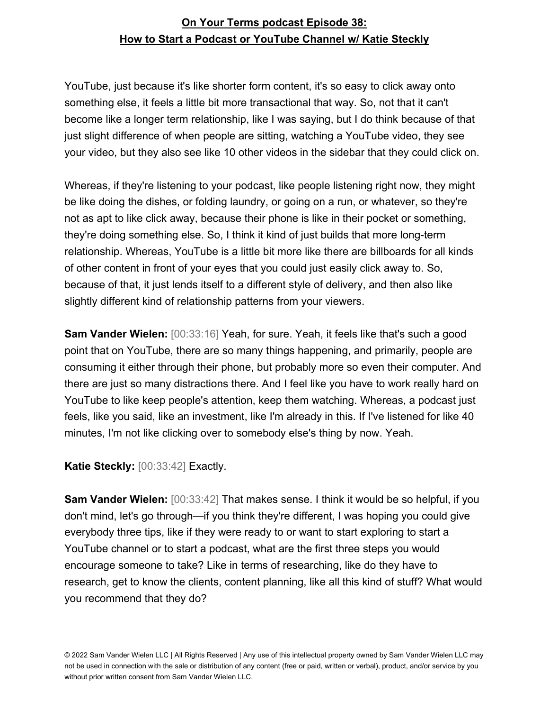YouTube, just because it's like shorter form content, it's so easy to click away onto something else, it feels a little bit more transactional that way. So, not that it can't become like a longer term relationship, like I was saying, but I do think because of that just slight difference of when people are sitting, watching a YouTube video, they see your video, but they also see like 10 other videos in the sidebar that they could click on.

Whereas, if they're listening to your podcast, like people listening right now, they might be like doing the dishes, or folding laundry, or going on a run, or whatever, so they're not as apt to like click away, because their phone is like in their pocket or something, they're doing something else. So, I think it kind of just builds that more long-term relationship. Whereas, YouTube is a little bit more like there are billboards for all kinds of other content in front of your eyes that you could just easily click away to. So, because of that, it just lends itself to a different style of delivery, and then also like slightly different kind of relationship patterns from your viewers.

**Sam Vander Wielen:** [00:33:16] Yeah, for sure. Yeah, it feels like that's such a good point that on YouTube, there are so many things happening, and primarily, people are consuming it either through their phone, but probably more so even their computer. And there are just so many distractions there. And I feel like you have to work really hard on YouTube to like keep people's attention, keep them watching. Whereas, a podcast just feels, like you said, like an investment, like I'm already in this. If I've listened for like 40 minutes, I'm not like clicking over to somebody else's thing by now. Yeah.

**Katie Steckly:** [00:33:42] Exactly.

**Sam Vander Wielen:** [00:33:42] That makes sense. I think it would be so helpful, if you don't mind, let's go through—if you think they're different, I was hoping you could give everybody three tips, like if they were ready to or want to start exploring to start a YouTube channel or to start a podcast, what are the first three steps you would encourage someone to take? Like in terms of researching, like do they have to research, get to know the clients, content planning, like all this kind of stuff? What would you recommend that they do?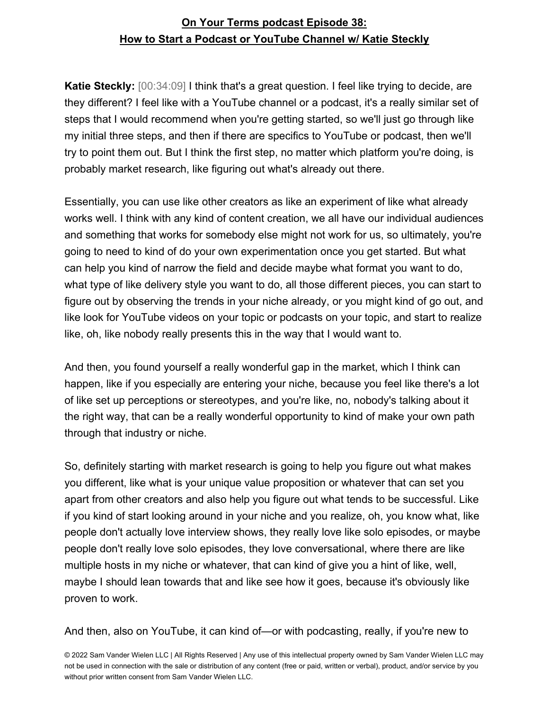**Katie Steckly:** [00:34:09] I think that's a great question. I feel like trying to decide, are they different? I feel like with a YouTube channel or a podcast, it's a really similar set of steps that I would recommend when you're getting started, so we'll just go through like my initial three steps, and then if there are specifics to YouTube or podcast, then we'll try to point them out. But I think the first step, no matter which platform you're doing, is probably market research, like figuring out what's already out there.

Essentially, you can use like other creators as like an experiment of like what already works well. I think with any kind of content creation, we all have our individual audiences and something that works for somebody else might not work for us, so ultimately, you're going to need to kind of do your own experimentation once you get started. But what can help you kind of narrow the field and decide maybe what format you want to do, what type of like delivery style you want to do, all those different pieces, you can start to figure out by observing the trends in your niche already, or you might kind of go out, and like look for YouTube videos on your topic or podcasts on your topic, and start to realize like, oh, like nobody really presents this in the way that I would want to.

And then, you found yourself a really wonderful gap in the market, which I think can happen, like if you especially are entering your niche, because you feel like there's a lot of like set up perceptions or stereotypes, and you're like, no, nobody's talking about it the right way, that can be a really wonderful opportunity to kind of make your own path through that industry or niche.

So, definitely starting with market research is going to help you figure out what makes you different, like what is your unique value proposition or whatever that can set you apart from other creators and also help you figure out what tends to be successful. Like if you kind of start looking around in your niche and you realize, oh, you know what, like people don't actually love interview shows, they really love like solo episodes, or maybe people don't really love solo episodes, they love conversational, where there are like multiple hosts in my niche or whatever, that can kind of give you a hint of like, well, maybe I should lean towards that and like see how it goes, because it's obviously like proven to work.

#### And then, also on YouTube, it can kind of—or with podcasting, really, if you're new to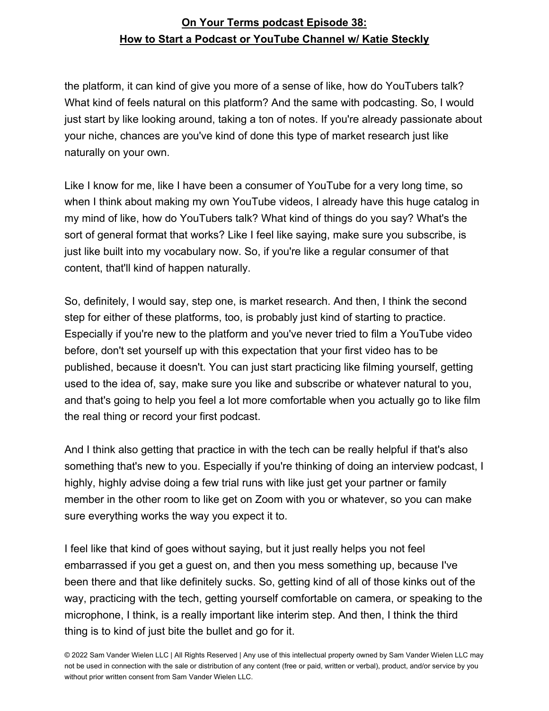the platform, it can kind of give you more of a sense of like, how do YouTubers talk? What kind of feels natural on this platform? And the same with podcasting. So, I would just start by like looking around, taking a ton of notes. If you're already passionate about your niche, chances are you've kind of done this type of market research just like naturally on your own.

Like I know for me, like I have been a consumer of YouTube for a very long time, so when I think about making my own YouTube videos, I already have this huge catalog in my mind of like, how do YouTubers talk? What kind of things do you say? What's the sort of general format that works? Like I feel like saying, make sure you subscribe, is just like built into my vocabulary now. So, if you're like a regular consumer of that content, that'll kind of happen naturally.

So, definitely, I would say, step one, is market research. And then, I think the second step for either of these platforms, too, is probably just kind of starting to practice. Especially if you're new to the platform and you've never tried to film a YouTube video before, don't set yourself up with this expectation that your first video has to be published, because it doesn't. You can just start practicing like filming yourself, getting used to the idea of, say, make sure you like and subscribe or whatever natural to you, and that's going to help you feel a lot more comfortable when you actually go to like film the real thing or record your first podcast.

And I think also getting that practice in with the tech can be really helpful if that's also something that's new to you. Especially if you're thinking of doing an interview podcast, I highly, highly advise doing a few trial runs with like just get your partner or family member in the other room to like get on Zoom with you or whatever, so you can make sure everything works the way you expect it to.

I feel like that kind of goes without saying, but it just really helps you not feel embarrassed if you get a guest on, and then you mess something up, because I've been there and that like definitely sucks. So, getting kind of all of those kinks out of the way, practicing with the tech, getting yourself comfortable on camera, or speaking to the microphone, I think, is a really important like interim step. And then, I think the third thing is to kind of just bite the bullet and go for it.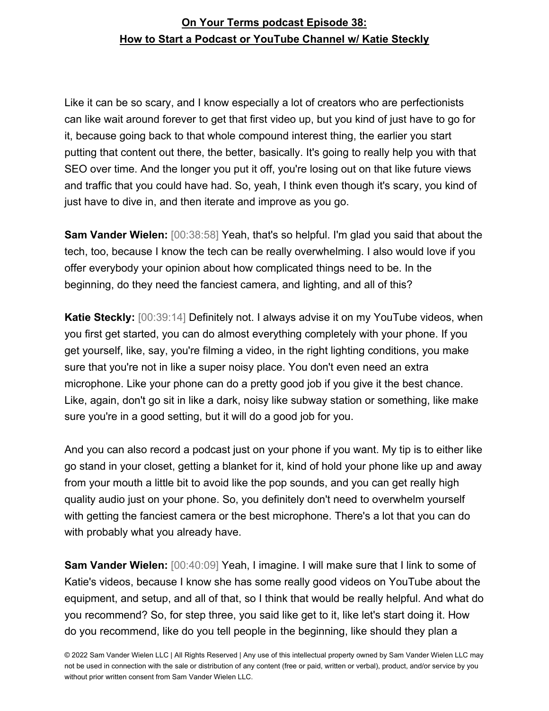Like it can be so scary, and I know especially a lot of creators who are perfectionists can like wait around forever to get that first video up, but you kind of just have to go for it, because going back to that whole compound interest thing, the earlier you start putting that content out there, the better, basically. It's going to really help you with that SEO over time. And the longer you put it off, you're losing out on that like future views and traffic that you could have had. So, yeah, I think even though it's scary, you kind of just have to dive in, and then iterate and improve as you go.

**Sam Vander Wielen:** [00:38:58] Yeah, that's so helpful. I'm glad you said that about the tech, too, because I know the tech can be really overwhelming. I also would love if you offer everybody your opinion about how complicated things need to be. In the beginning, do they need the fanciest camera, and lighting, and all of this?

**Katie Steckly:** [00:39:14] Definitely not. I always advise it on my YouTube videos, when you first get started, you can do almost everything completely with your phone. If you get yourself, like, say, you're filming a video, in the right lighting conditions, you make sure that you're not in like a super noisy place. You don't even need an extra microphone. Like your phone can do a pretty good job if you give it the best chance. Like, again, don't go sit in like a dark, noisy like subway station or something, like make sure you're in a good setting, but it will do a good job for you.

And you can also record a podcast just on your phone if you want. My tip is to either like go stand in your closet, getting a blanket for it, kind of hold your phone like up and away from your mouth a little bit to avoid like the pop sounds, and you can get really high quality audio just on your phone. So, you definitely don't need to overwhelm yourself with getting the fanciest camera or the best microphone. There's a lot that you can do with probably what you already have.

**Sam Vander Wielen:** [00:40:09] Yeah, I imagine. I will make sure that I link to some of Katie's videos, because I know she has some really good videos on YouTube about the equipment, and setup, and all of that, so I think that would be really helpful. And what do you recommend? So, for step three, you said like get to it, like let's start doing it. How do you recommend, like do you tell people in the beginning, like should they plan a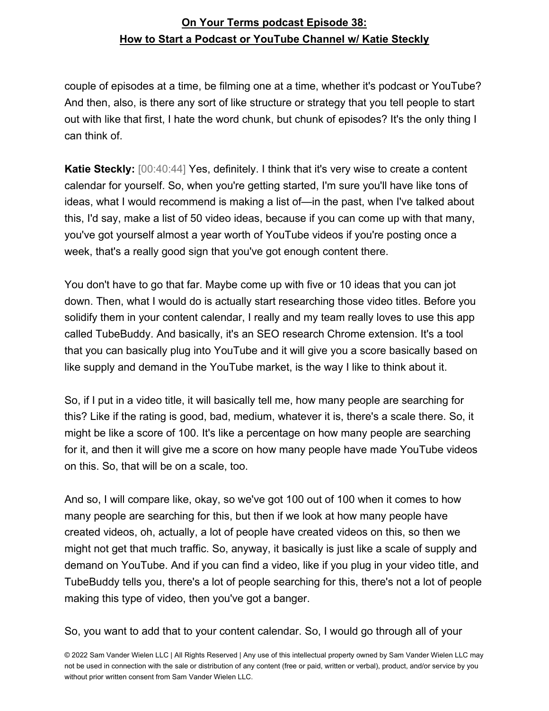couple of episodes at a time, be filming one at a time, whether it's podcast or YouTube? And then, also, is there any sort of like structure or strategy that you tell people to start out with like that first, I hate the word chunk, but chunk of episodes? It's the only thing I can think of.

**Katie Steckly:** [00:40:44] Yes, definitely. I think that it's very wise to create a content calendar for yourself. So, when you're getting started, I'm sure you'll have like tons of ideas, what I would recommend is making a list of—in the past, when I've talked about this, I'd say, make a list of 50 video ideas, because if you can come up with that many, you've got yourself almost a year worth of YouTube videos if you're posting once a week, that's a really good sign that you've got enough content there.

You don't have to go that far. Maybe come up with five or 10 ideas that you can jot down. Then, what I would do is actually start researching those video titles. Before you solidify them in your content calendar, I really and my team really loves to use this app called TubeBuddy. And basically, it's an SEO research Chrome extension. It's a tool that you can basically plug into YouTube and it will give you a score basically based on like supply and demand in the YouTube market, is the way I like to think about it.

So, if I put in a video title, it will basically tell me, how many people are searching for this? Like if the rating is good, bad, medium, whatever it is, there's a scale there. So, it might be like a score of 100. It's like a percentage on how many people are searching for it, and then it will give me a score on how many people have made YouTube videos on this. So, that will be on a scale, too.

And so, I will compare like, okay, so we've got 100 out of 100 when it comes to how many people are searching for this, but then if we look at how many people have created videos, oh, actually, a lot of people have created videos on this, so then we might not get that much traffic. So, anyway, it basically is just like a scale of supply and demand on YouTube. And if you can find a video, like if you plug in your video title, and TubeBuddy tells you, there's a lot of people searching for this, there's not a lot of people making this type of video, then you've got a banger.

So, you want to add that to your content calendar. So, I would go through all of your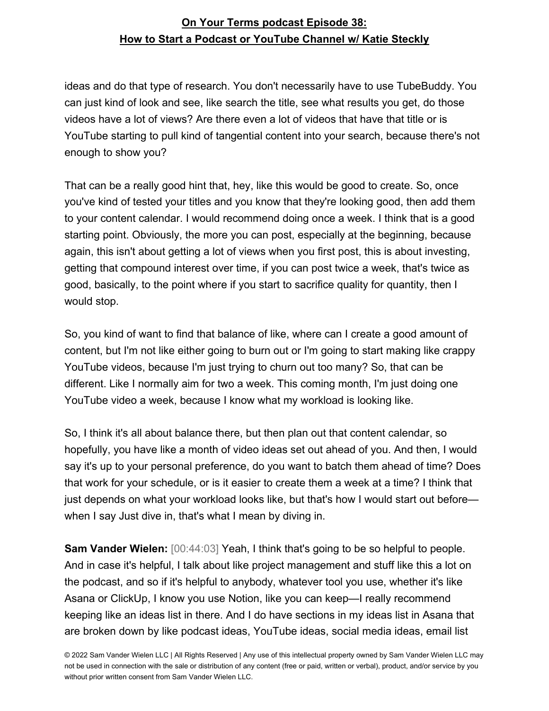ideas and do that type of research. You don't necessarily have to use TubeBuddy. You can just kind of look and see, like search the title, see what results you get, do those videos have a lot of views? Are there even a lot of videos that have that title or is YouTube starting to pull kind of tangential content into your search, because there's not enough to show you?

That can be a really good hint that, hey, like this would be good to create. So, once you've kind of tested your titles and you know that they're looking good, then add them to your content calendar. I would recommend doing once a week. I think that is a good starting point. Obviously, the more you can post, especially at the beginning, because again, this isn't about getting a lot of views when you first post, this is about investing, getting that compound interest over time, if you can post twice a week, that's twice as good, basically, to the point where if you start to sacrifice quality for quantity, then I would stop.

So, you kind of want to find that balance of like, where can I create a good amount of content, but I'm not like either going to burn out or I'm going to start making like crappy YouTube videos, because I'm just trying to churn out too many? So, that can be different. Like I normally aim for two a week. This coming month, I'm just doing one YouTube video a week, because I know what my workload is looking like.

So, I think it's all about balance there, but then plan out that content calendar, so hopefully, you have like a month of video ideas set out ahead of you. And then, I would say it's up to your personal preference, do you want to batch them ahead of time? Does that work for your schedule, or is it easier to create them a week at a time? I think that just depends on what your workload looks like, but that's how I would start out before when I say Just dive in, that's what I mean by diving in.

**Sam Vander Wielen:** [00:44:03] Yeah, I think that's going to be so helpful to people. And in case it's helpful, I talk about like project management and stuff like this a lot on the podcast, and so if it's helpful to anybody, whatever tool you use, whether it's like Asana or ClickUp, I know you use Notion, like you can keep—I really recommend keeping like an ideas list in there. And I do have sections in my ideas list in Asana that are broken down by like podcast ideas, YouTube ideas, social media ideas, email list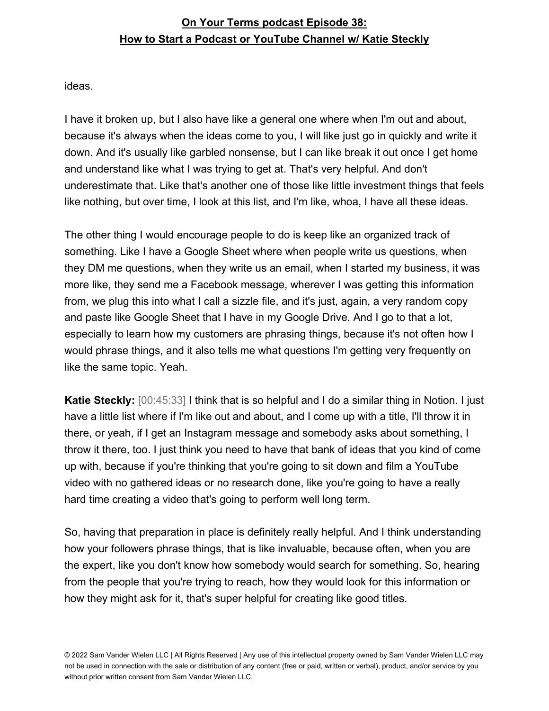ideas.

I have it broken up, but I also have like a general one where when I'm out and about, because it's always when the ideas come to you, I will like just go in quickly and write it down. And it's usually like garbled nonsense, but I can like break it out once I get home and understand like what I was trying to get at. That's very helpful. And don't underestimate that. Like that's another one of those like little investment things that feels like nothing, but over time, I look at this list, and I'm like, whoa, I have all these ideas.

The other thing I would encourage people to do is keep like an organized track of something. Like I have a Google Sheet where when people write us questions, when they DM me questions, when they write us an email, when I started my business, it was more like, they send me a Facebook message, wherever I was getting this information from, we plug this into what I call a sizzle file, and it's just, again, a very random copy and paste like Google Sheet that I have in my Google Drive. And I go to that a lot, especially to learn how my customers are phrasing things, because it's not often how I would phrase things, and it also tells me what questions I'm getting very frequently on like the same topic. Yeah.

**Katie Steckly:** [00:45:33] I think that is so helpful and I do a similar thing in Notion. I just have a little list where if I'm like out and about, and I come up with a title, I'll throw it in there, or yeah, if I get an Instagram message and somebody asks about something, I throw it there, too. I just think you need to have that bank of ideas that you kind of come up with, because if you're thinking that you're going to sit down and film a YouTube video with no gathered ideas or no research done, like you're going to have a really hard time creating a video that's going to perform well long term.

So, having that preparation in place is definitely really helpful. And I think understanding how your followers phrase things, that is like invaluable, because often, when you are the expert, like you don't know how somebody would search for something. So, hearing from the people that you're trying to reach, how they would look for this information or how they might ask for it, that's super helpful for creating like good titles.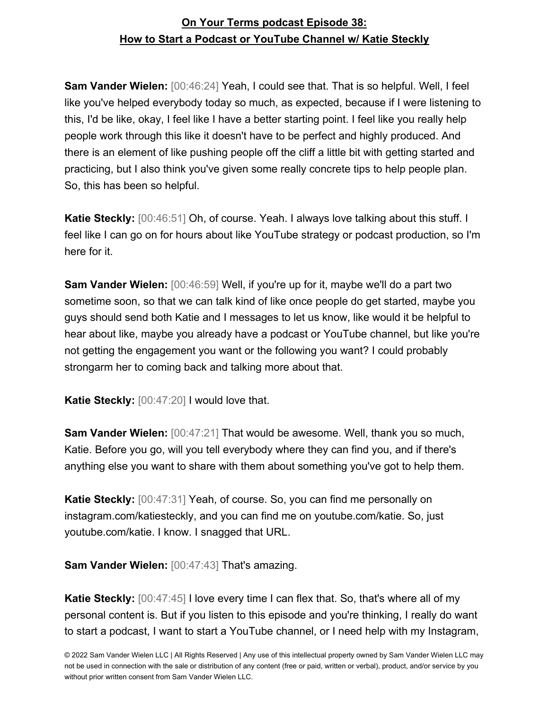**Sam Vander Wielen:** [00:46:24] Yeah, I could see that. That is so helpful. Well, I feel like you've helped everybody today so much, as expected, because if I were listening to this, I'd be like, okay, I feel like I have a better starting point. I feel like you really help people work through this like it doesn't have to be perfect and highly produced. And there is an element of like pushing people off the cliff a little bit with getting started and practicing, but I also think you've given some really concrete tips to help people plan. So, this has been so helpful.

**Katie Steckly:** [00:46:51] Oh, of course. Yeah. I always love talking about this stuff. I feel like I can go on for hours about like YouTube strategy or podcast production, so I'm here for it.

**Sam Vander Wielen:** [00:46:59] Well, if you're up for it, maybe we'll do a part two sometime soon, so that we can talk kind of like once people do get started, maybe you guys should send both Katie and I messages to let us know, like would it be helpful to hear about like, maybe you already have a podcast or YouTube channel, but like you're not getting the engagement you want or the following you want? I could probably strongarm her to coming back and talking more about that.

**Katie Steckly:** [00:47:20] I would love that.

**Sam Vander Wielen:** [00:47:21] That would be awesome. Well, thank you so much, Katie. Before you go, will you tell everybody where they can find you, and if there's anything else you want to share with them about something you've got to help them.

**Katie Steckly:** [00:47:31] Yeah, of course. So, you can find me personally on instagram.com/katiesteckly, and you can find me on youtube.com/katie. So, just youtube.com/katie. I know. I snagged that URL.

**Sam Vander Wielen:** [00:47:43] That's amazing.

**Katie Steckly:**  $[00:47:45]$  I love every time I can flex that. So, that's where all of my personal content is. But if you listen to this episode and you're thinking, I really do want to start a podcast, I want to start a YouTube channel, or I need help with my Instagram,